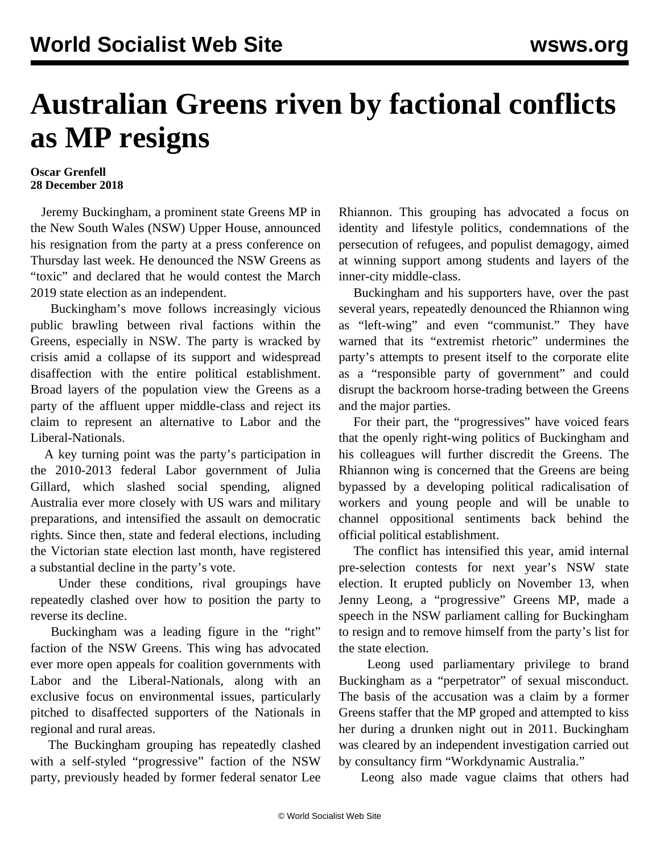## **Australian Greens riven by factional conflicts as MP resigns**

## **Oscar Grenfell 28 December 2018**

 Jeremy Buckingham, a prominent state Greens MP in the New South Wales (NSW) Upper House, announced his resignation from the party at a press conference on Thursday last week. He denounced the NSW Greens as "toxic" and declared that he would contest the March 2019 state election as an independent.

 Buckingham's move follows increasingly vicious public brawling between rival factions within the Greens, especially in NSW. The party is wracked by crisis amid a collapse of its support and widespread disaffection with the entire political establishment. Broad layers of the population view the Greens as a party of the affluent upper middle-class and reject its claim to represent an alternative to Labor and the Liberal-Nationals.

 A key turning point was the party's participation in the 2010-2013 federal Labor government of Julia Gillard, which slashed social spending, aligned Australia ever more closely with US wars and military preparations, and intensified the assault on democratic rights. Since then, state and federal elections, including the Victorian state election last month, have registered a substantial decline in the party's vote.

 Under these conditions, rival groupings have repeatedly clashed over how to position the party to reverse its decline.

 Buckingham was a leading figure in the "right" faction of the NSW Greens. This wing has advocated ever more open appeals for coalition governments with Labor and the Liberal-Nationals, along with an exclusive focus on environmental issues, particularly pitched to disaffected supporters of the Nationals in regional and rural areas.

 The Buckingham grouping has repeatedly clashed with a self-styled "progressive" faction of the NSW party, previously headed by former federal senator Lee Rhiannon. This grouping has advocated a focus on identity and lifestyle politics, condemnations of the persecution of refugees, and populist demagogy, aimed at winning support among students and layers of the inner-city middle-class.

 Buckingham and his supporters have, over the past several years, repeatedly denounced the Rhiannon wing as "left-wing" and even "communist." They have warned that its "extremist rhetoric" undermines the party's attempts to present itself to the corporate elite as a "responsible party of government" and could disrupt the backroom horse-trading between the Greens and the major parties.

 For their part, the "progressives" have voiced fears that the openly right-wing politics of Buckingham and his colleagues will further discredit the Greens. The Rhiannon wing is concerned that the Greens are being bypassed by a developing political radicalisation of workers and young people and will be unable to channel oppositional sentiments back behind the official political establishment.

 The conflict has intensified this year, amid internal pre-selection contests for next year's NSW state election. It erupted publicly on November 13, when Jenny Leong, a "progressive" Greens MP, made a speech in the NSW parliament calling for Buckingham to resign and to remove himself from the party's list for the state election.

 Leong used parliamentary privilege to brand Buckingham as a "perpetrator" of sexual misconduct. The basis of the accusation was a claim by a former Greens staffer that the MP groped and attempted to kiss her during a drunken night out in 2011. Buckingham was cleared by an independent investigation carried out by consultancy firm "Workdynamic Australia."

Leong also made vague claims that others had